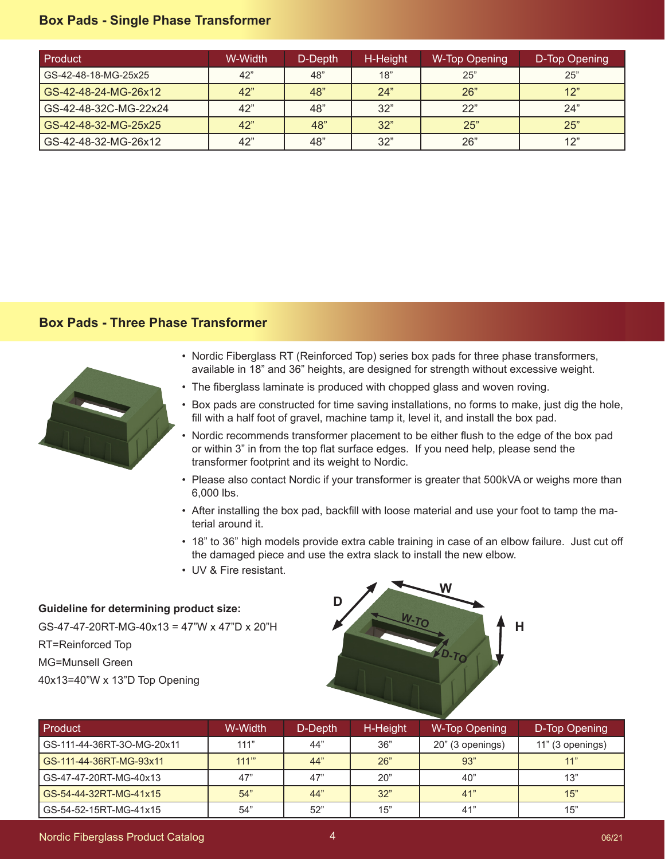## **Box Pads - Single Phase Transformer**

| Product               | W-Width | D-Depth | H-Height | W-Top Opening | D-Top Opening |
|-----------------------|---------|---------|----------|---------------|---------------|
| GS-42-48-18-MG-25x25  | 42"     | 48"     | 18"      | 25"           | 25"           |
| GS-42-48-24-MG-26x12  | 42"     | 48"     | 24"      | <b>26</b> "   | 12"           |
| GS-42-48-32C-MG-22x24 | 42"     | 48"     | 32"      | 22"           | 24"           |
| GS-42-48-32-MG-25x25  | 42"     | 48"     | 32"      | 25"           | 25"           |
| GS-42-48-32-MG-26x12  | 42"     | 48"     | 32"      | 26"           | 12"           |

## **Box Pads - Three Phase Transformer**



- Nordic Fiberglass RT (Reinforced Top) series box pads for three phase transformers, available in 18" and 36" heights, are designed for strength without excessive weight.
- The fiberglass laminate is produced with chopped glass and woven roving.
- Box pads are constructed for time saving installations, no forms to make, just dig the hole, fill with a half foot of gravel, machine tamp it, level it, and install the box pad.
- Nordic recommends transformer placement to be either flush to the edge of the box pad or within 3" in from the top flat surface edges. If you need help, please send the transformer footprint and its weight to Nordic.
- Please also contact Nordic if your transformer is greater that 500kVA or weighs more than 6,000 lbs.
- After installing the box pad, backfill with loose material and use your foot to tamp the material around it.
- 18" to 36" high models provide extra cable training in case of an elbow failure. Just cut off the damaged piece and use the extra slack to install the new elbow.
- UV & Fire resistant.

## **Guideline for determining product size:**

GS-47-47-20RT-MG-40x13 = 47"W x 47"D x 20"H RT=Reinforced Top MG=Munsell Green 40x13=40"W x 13"D Top Opening



| Product                    | W-Width | D-Depth | H-Height | W-Top Opening    | D-Top Opening    |
|----------------------------|---------|---------|----------|------------------|------------------|
| GS-111-44-36RT-3O-MG-20x11 | 111"    | 44"     | 36"      | 20" (3 openings) | 11" (3 openings) |
| GS-111-44-36RT-MG-93x11    | 111"    | 44"     | 26"      | 93"              | 11"              |
| GS-47-47-20RT-MG-40x13     | 47"     | 47"     | 20"      | 40"              | 13"              |
| GS-54-44-32RT-MG-41x15     | 54"     | 44"     | 32"      | 41"              | 15"              |
| GS-54-52-15RT-MG-41x15     | 54"     | 52"     | 15"      | 41"              | 15"              |

Nordic Fiberglass Product Catalog and the control of the control of the control of the control of the control o